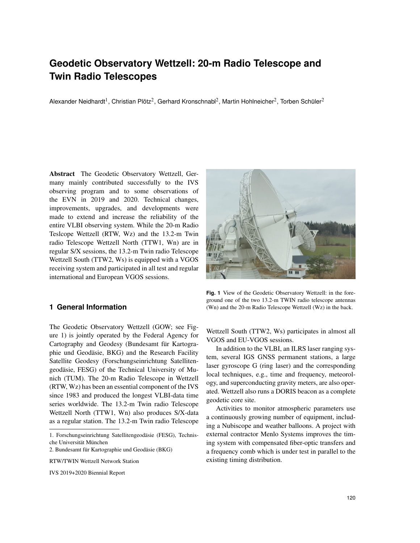# **Geodetic Observatory Wettzell: 20-m Radio Telescope and Twin Radio Telescopes**

Alexander Neidhardt<sup>1</sup>, Christian Plötz<sup>2</sup>, Gerhard Kronschnabl<sup>2</sup>, Martin Hohlneicher<sup>2</sup>, Torben Schüler<sup>2</sup>

Abstract The Geodetic Observatory Wettzell, Germany mainly contributed successfully to the IVS observing program and to some observations of the EVN in 2019 and 2020. Technical changes, improvements, upgrades, and developments were made to extend and increase the reliability of the entire VLBI observing system. While the 20-m Radio Teslcope Wettzell (RTW, Wz) and the 13.2-m Twin radio Telescope Wettzell North (TTW1, Wn) are in regular S/X sessions, the 13.2-m Twin radio Telescope Wettzell South (TTW2, Ws) is equipped with a VGOS receiving system and participated in all test and regular international and European VGOS sessions.

# **1 General Information**

The Geodetic Observatory Wettzell (GOW; see Figure 1) is jointly operated by the Federal Agency for Cartography and Geodesy (Bundesamt für Kartographie und Geodäsie, BKG) and the Research Facility Satellite Geodesy (Forschungseinrichtung Satellitengeodäsie, FESG) of the Technical University of Munich (TUM). The 20-m Radio Telescope in Wettzell (RTW, Wz) has been an essential component of the IVS since 1983 and produced the longest VLBI-data time series worldwide. The 13.2-m Twin radio Telescope Wettzell North (TTW1, Wn) also produces S/X-data as a regular station. The 13.2-m Twin radio Telescope

IVS 2019+2020 Biennial Report



**Fig. 1** View of the Geodetic Observatory Wettzell: in the foreground one of the two 13.2-m TWIN radio telescope antennas (Wn) and the 20-m Radio Telescope Wettzell (Wz) in the back.

Wettzell South (TTW2, Ws) participates in almost all VGOS and EU-VGOS sessions.

In addition to the VLBI, an ILRS laser ranging system, several IGS GNSS permanent stations, a large laser gyroscope G (ring laser) and the corresponding local techniques, e.g., time and frequency, meteorology, and superconducting gravity meters, are also operated. Wettzell also runs a DORIS beacon as a complete geodetic core site.

Activities to monitor atmospheric parameters use a continuously growing number of equipment, including a Nubiscope and weather balloons. A project with external contractor Menlo Systems improves the timing system with compensated fiber-optic transfers and a frequency comb which is under test in parallel to the existing timing distribution.

<sup>1.</sup> Forschungseinrichtung Satellitengeodäsie (FESG), Technische Universität München

<sup>2.</sup> Bundesamt für Kartographie und Geodäsie (BKG)

RTW/TWIN Wettzell Network Station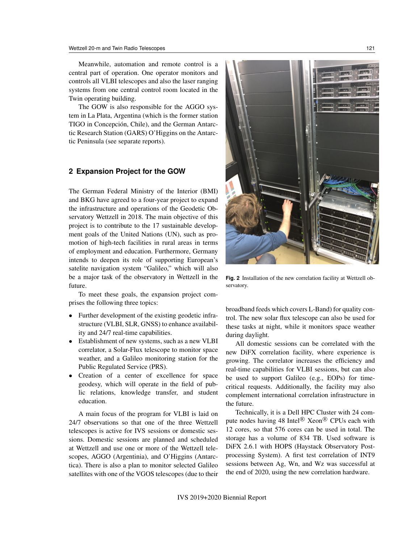Meanwhile, automation and remote control is a central part of operation. One operator monitors and controls all VLBI telescopes and also the laser ranging systems from one central control room located in the Twin operating building.

The GOW is also responsible for the AGGO system in La Plata, Argentina (which is the former station TIGO in Concepción, Chile), and the German Antarctic Research Station (GARS) O'Higgins on the Antarctic Peninsula (see separate reports).

## **2 Expansion Project for the GOW**

The German Federal Ministry of the Interior (BMI) and BKG have agreed to a four-year project to expand the infrastructure and operations of the Geodetic Observatory Wettzell in 2018. The main objective of this project is to contribute to the 17 sustainable development goals of the United Nations (UN), such as promotion of high-tech facilities in rural areas in terms of employment and education. Furthermore, Germany intends to deepen its role of supporting European's satelite navigation system "Galileo," which will also be a major task of the observatory in Wettzell in the future.

To meet these goals, the expansion project comprises the following three topics:

- Further development of the existing geodetic infrastructure (VLBI, SLR, GNSS) to enhance availability and 24/7 real-time capabilities.
- Establishment of new systems, such as a new VLBI correlator, a Solar-Flux telescope to monitor space weather, and a Galileo monitoring station for the Public Regulated Service (PRS).
- Creation of a center of excellence for space geodesy, which will operate in the field of public relations, knowledge transfer, and student education.

A main focus of the program for VLBI is laid on 24/7 observations so that one of the three Wettzell telescopes is active for IVS sessions or domestic sessions. Domestic sessions are planned and scheduled at Wettzell and use one or more of the Wettzell telescopes, AGGO (Argentinia), and O'Higgins (Antarctica). There is also a plan to monitor selected Galileo satellites with one of the VGOS telescopes (due to their



**Fig. 2** Installation of the new correlation facility at Wettzell observatory.

broadband feeds which covers L-Band) for quality control. The new solar flux telescope can also be used for these tasks at night, while it monitors space weather during daylight.

All domestic sessions can be correlated with the new DiFX correlation facility, where experience is growing. The correlator increases the efficiency and real-time capabilities for VLBI sessions, but can also be used to support Galileo (e.g., EOPs) for timecritical requests. Additionally, the facility may also complement international correlation infrastructure in the future.

Technically, it is a Dell HPC Cluster with 24 compute nodes having 48 Intel<sup>®</sup> Xeon<sup>®</sup> CPUs each with 12 cores, so that 576 cores can be used in total. The storage has a volume of 834 TB. Used software is DiFX 2.6.1 with HOPS (Haystack Observatory Postprocessing System). A first test correlation of INT9 sessions between Ag, Wn, and Wz was successful at the end of 2020, using the new correlation hardware.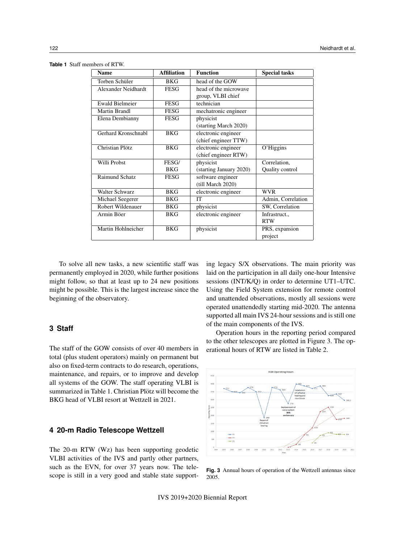| <b>Name</b>            | <b>Affiliation</b> | <b>Function</b>         | <b>Special tasks</b> |
|------------------------|--------------------|-------------------------|----------------------|
| Torben Schüler         | <b>BKG</b>         | head of the GOW         |                      |
| Alexander Neidhardt    | <b>FESG</b>        | head of the microwave   |                      |
|                        |                    | group, VLBI chief       |                      |
| <b>Ewald Bielmeier</b> | FESG               | technician              |                      |
| Martin Brandl          | FESG               | mechatronic engineer    |                      |
| Elena Dembianny        | <b>FESG</b>        | physicist               |                      |
|                        |                    | (starting March 2020)   |                      |
| Gerhard Kronschnabl    | <b>BKG</b>         | electronic engineer     |                      |
|                        |                    | (chief engineer TTW)    |                      |
| Christian Plötz        | <b>BKG</b>         | electronic engineer     | O'Higgins            |
|                        |                    | (chief engineer RTW)    |                      |
| Willi Probst           | FESG/              | physicist               | Correlation,         |
|                        | BKG                | (starting January 2020) | Quality control      |
| Raimund Schatz         | <b>FESG</b>        | software engineer       |                      |
|                        |                    | (till March 2020)       |                      |
| Walter Schwarz         | <b>BKG</b>         | electronic engineer     | <b>WVR</b>           |
| Michael Seegerer       | BKG                | <b>IT</b>               | Admin, Correlation   |
| Robert Wildenauer      | BKG                | physicist               | SW, Correlation      |
| Armin Böer             | BKG                | electronic engineer     | Infrastruct.,        |
|                        |                    |                         | <b>RTW</b>           |
| Martin Hohlneicher     | <b>BKG</b>         | physicist               | PRS, expansion       |
|                        |                    |                         | project              |

**Table 1** Staff members of RTW.

To solve all new tasks, a new scientific staff was permanently employed in 2020, while further positions might follow, so that at least up to 24 new positions might be possible. This is the largest increase since the beginning of the observatory.

# **3 Staff**

The staff of the GOW consists of over 40 members in total (plus student operators) mainly on permanent but also on fixed-term contracts to do research, operations, maintenance, and repairs, or to improve and develop all systems of the GOW. The staff operating VLBI is summarized in Table 1. Christian Plötz will become the BKG head of VLBI resort at Wettzell in 2021.

#### **4 20-m Radio Telescope Wettzell**

The 20-m RTW (Wz) has been supporting geodetic VLBI activities of the IVS and partly other partners, such as the EVN, for over 37 years now. The telescope is still in a very good and stable state supporting legacy S/X observations. The main priority was laid on the participation in all daily one-hour Intensive sessions (INT/K/Q) in order to determine UT1–UTC. Using the Field System extension for remote control and unattended observations, mostly all sessions were operated unattendedly starting mid-2020. The antenna supported all main IVS 24-hour sessions and is still one of the main components of the IVS.

Operation hours in the reporting period compared to the other telescopes are plotted in Figure 3. The operational hours of RTW are listed in Table 2.



**Fig. 3** Annual hours of operation of the Wettzell antennas since 2005.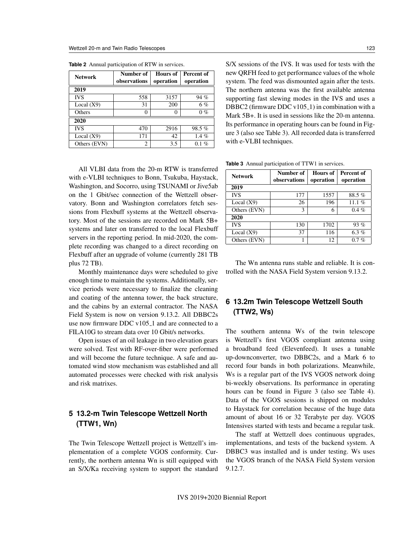| <b>Network</b> | Number of    | <b>Hours of</b> | Percent of |
|----------------|--------------|-----------------|------------|
|                | observations | operation       | operation  |
| 2019           |              |                 |            |
| <b>IVS</b>     | 558          | 3157            | 94 %       |
| Local $(X9)$   | 31           | 200             | $6\%$      |
| Others         | 0            | 0               | $0\%$      |
| 2020           |              |                 |            |
| <b>IVS</b>     | 470          | 2916            | 98.5%      |
| Local $(X9)$   | 171          | 42              | $1.4\%$    |
| Others (EVN)   | 2            | 3.5             | $0.1\%$    |

**Table 2** Annual participation of RTW in services.

All VLBI data from the 20-m RTW is transferred with e-VLBI techniques to Bonn, Tsukuba, Haystack, Washington, and Socorro, using TSUNAMI or Jive5ab on the 1 Gbit/sec connection of the Wettzell observatory. Bonn and Washington correlators fetch sessions from Flexbuff systems at the Wettzell observatory. Most of the sessions are recorded on Mark 5B+ systems and later on transferred to the local Flexbuff servers in the reporting period. In mid-2020, the complete recording was changed to a direct recording on Flexbuff after an upgrade of volume (currently 281 TB plus 72 TB).

Monthly maintenance days were scheduled to give enough time to maintain the systems. Additionally, service periods were necessary to finalize the cleaning and coating of the antenna tower, the back structure, and the cabins by an external contractor. The NASA Field System is now on version 9.13.2. All DBBC2s use now firmware DDC v105<sub>-1</sub> and are connected to a FILA10G to stream data over 10 Gbit/s networks.

Open issues of an oil leakage in two elevation gears were solved. Test with RF-over-fiber were performed and will become the future technique. A safe and automated wind stow mechanism was established and all automated processes were checked with risk analysis and risk matrixes.

# **5 13.2-m Twin Telescope Wettzell North (TTW1, Wn)**

The Twin Telescope Wettzell project is Wettzell's implementation of a complete VGOS conformity. Currently, the northern antenna Wn is still equipped with an S/X/Ka receiving system to support the standard S/X sessions of the IVS. It was used for tests with the new QRFH feed to get performance values of the whole system. The feed was dismounted again after the tests. The northern antenna was the first available antenna supporting fast slewing modes in the IVS and uses a DBBC2 (firmware DDC v105 $\text{\_}1$ ) in combination with a Mark 5B+. It is used in sessions like the 20-m antenna. Its performance in operating hours can be found in Figure 3 (also see Table 3). All recorded data is transferred with e-VLBI techniques.

**Table 3** Annual participation of TTW1 in services.

| <b>Network</b> | Number of    | Hours of  | Percent of |  |  |
|----------------|--------------|-----------|------------|--|--|
|                | observations | operation | operation  |  |  |
| 2019           |              |           |            |  |  |
| <b>IVS</b>     | 177          | 1557      | 88.5%      |  |  |
| Local $(X9)$   | 26           | 196       | 11.1 $%$   |  |  |
| Others (EVN)   | 3            | 6         | $0.4 \%$   |  |  |
| 2020           |              |           |            |  |  |
| <b>IVS</b>     | 130          | 1702      | 93%        |  |  |
| Local $(X9)$   | 37           | 116       | $6.3 \%$   |  |  |
| Others (EVN)   |              | 12        | 0.7%       |  |  |

The Wn antenna runs stable and reliable. It is controlled with the NASA Field System version 9.13.2.

# **6 13.2m Twin Telescope Wettzell South (TTW2, Ws)**

The southern antenna Ws of the twin telescope is Wettzell's first VGOS compliant antenna using a broadband feed (Elevenfeed). It uses a tunable up-downconverter, two DBBC2s, and a Mark 6 to record four bands in both polarizations. Meanwhile, Ws is a regular part of the IVS VGOS network doing bi-weekly observations. Its performance in operating hours can be found in Figure 3 (also see Table 4). Data of the VGOS sessions is shipped on modules to Haystack for correlation because of the huge data amount of about 16 or 32 Terabyte per day. VGOS Intensives started with tests and became a regular task.

The staff at Wettzell does continuous upgrades, implementations, and tests of the backend system. A DBBC3 was installed and is under testing. Ws uses the VGOS branch of the NASA Field System version 9.12.7.